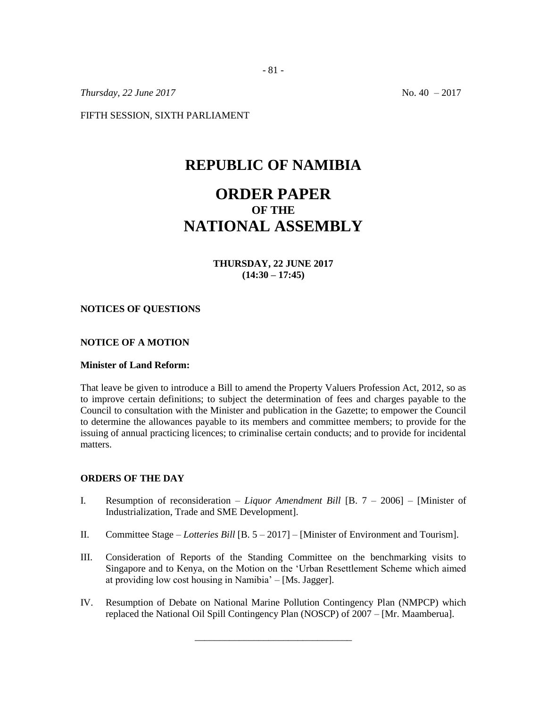*Thursday, 22 June 2017* No. 40 – 2017

FIFTH SESSION, SIXTH PARLIAMENT

## **REPUBLIC OF NAMIBIA**

# **ORDER PAPER OF THE NATIONAL ASSEMBLY**

**THURSDAY, 22 JUNE 2017 (14:30 – 17:45)**

#### **NOTICES OF QUESTIONS**

#### **NOTICE OF A MOTION**

#### **Minister of Land Reform:**

That leave be given to introduce a Bill to amend the Property Valuers Profession Act, 2012, so as to improve certain definitions; to subject the determination of fees and charges payable to the Council to consultation with the Minister and publication in the Gazette; to empower the Council to determine the allowances payable to its members and committee members; to provide for the issuing of annual practicing licences; to criminalise certain conducts; and to provide for incidental matters.

#### **ORDERS OF THE DAY**

- I. Resumption of reconsideration *– Liquor Amendment Bill* [B. 7 2006] [Minister of Industrialization, Trade and SME Development].
- II. Committee Stage *Lotteries Bill* [B. 5 2017] [Minister of Environment and Tourism].
- III. Consideration of Reports of the Standing Committee on the benchmarking visits to Singapore and to Kenya, on the Motion on the 'Urban Resettlement Scheme which aimed at providing low cost housing in Namibia' – [Ms. Jagger].
- IV. Resumption of Debate on National Marine Pollution Contingency Plan (NMPCP) which replaced the National Oil Spill Contingency Plan (NOSCP) of 2007 – [Mr. Maamberua].

\_\_\_\_\_\_\_\_\_\_\_\_\_\_\_\_\_\_\_\_\_\_\_\_\_\_\_\_\_\_\_\_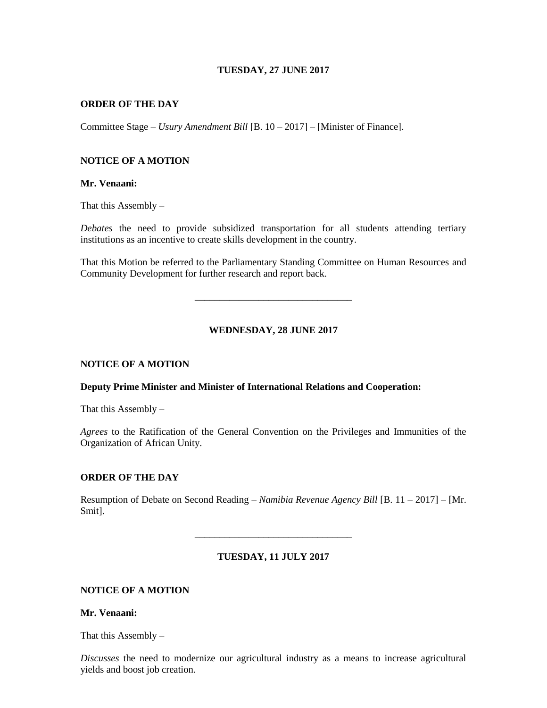### **TUESDAY, 27 JUNE 2017**

#### **ORDER OF THE DAY**

Committee Stage – *Usury Amendment Bill* [B. 10 – 2017] – [Minister of Finance].

#### **NOTICE OF A MOTION**

#### **Mr. Venaani:**

That this Assembly –

*Debates* the need to provide subsidized transportation for all students attending tertiary institutions as an incentive to create skills development in the country.

That this Motion be referred to the Parliamentary Standing Committee on Human Resources and Community Development for further research and report back.

\_\_\_\_\_\_\_\_\_\_\_\_\_\_\_\_\_\_\_\_\_\_\_\_\_\_\_\_\_\_\_\_

**WEDNESDAY, 28 JUNE 2017**

## **NOTICE OF A MOTION**

#### **Deputy Prime Minister and Minister of International Relations and Cooperation:**

That this Assembly  $-$ 

*Agrees* to the Ratification of the General Convention on the Privileges and Immunities of the Organization of African Unity.

#### **ORDER OF THE DAY**

Resumption of Debate on Second Reading – *Namibia Revenue Agency Bill* [B. 11 – 2017] – [Mr. Smit].

#### **TUESDAY, 11 JULY 2017**

\_\_\_\_\_\_\_\_\_\_\_\_\_\_\_\_\_\_\_\_\_\_\_\_\_\_\_\_\_\_\_\_

## **NOTICE OF A MOTION**

**Mr. Venaani:**

That this Assembly  $-$ 

*Discusses* the need to modernize our agricultural industry as a means to increase agricultural yields and boost job creation.